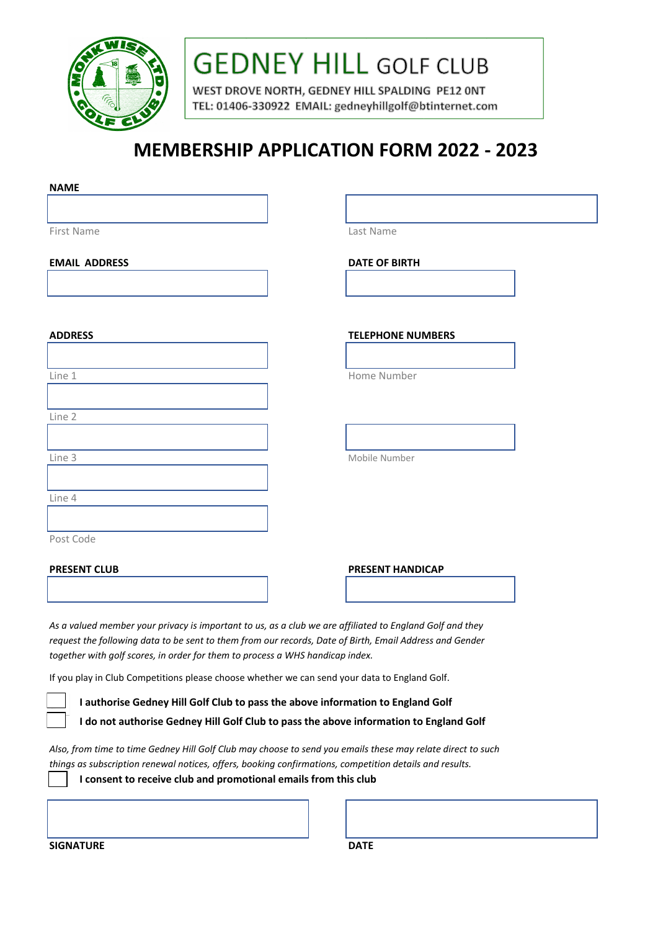

# **GEDNEY HILL GOLF CLUB**

WEST DROVE NORTH, GEDNEY HILL SPALDING PE12 ONT TEL: 01406-330922 EMAIL: gedneyhillgolf@btinternet.com

# **MEMBERSHIP APPLICATION FORM 2022 - 2023**

| <b>NAME</b>                                                                                                                                                                                                                                                                                          |  |  |                          |  |
|------------------------------------------------------------------------------------------------------------------------------------------------------------------------------------------------------------------------------------------------------------------------------------------------------|--|--|--------------------------|--|
|                                                                                                                                                                                                                                                                                                      |  |  |                          |  |
| First Name                                                                                                                                                                                                                                                                                           |  |  | Last Name                |  |
| <b>EMAIL ADDRESS</b>                                                                                                                                                                                                                                                                                 |  |  | <b>DATE OF BIRTH</b>     |  |
|                                                                                                                                                                                                                                                                                                      |  |  |                          |  |
|                                                                                                                                                                                                                                                                                                      |  |  |                          |  |
| <b>ADDRESS</b>                                                                                                                                                                                                                                                                                       |  |  | <b>TELEPHONE NUMBERS</b> |  |
|                                                                                                                                                                                                                                                                                                      |  |  | Home Number              |  |
| Line 1                                                                                                                                                                                                                                                                                               |  |  |                          |  |
| Line 2                                                                                                                                                                                                                                                                                               |  |  |                          |  |
|                                                                                                                                                                                                                                                                                                      |  |  |                          |  |
| Line 3                                                                                                                                                                                                                                                                                               |  |  | Mobile Number            |  |
| Line 4                                                                                                                                                                                                                                                                                               |  |  |                          |  |
|                                                                                                                                                                                                                                                                                                      |  |  |                          |  |
| Post Code                                                                                                                                                                                                                                                                                            |  |  |                          |  |
| <b>PRESENT CLUB</b>                                                                                                                                                                                                                                                                                  |  |  | <b>PRESENT HANDICAP</b>  |  |
|                                                                                                                                                                                                                                                                                                      |  |  |                          |  |
| As a valued member your privacy is important to us, as a club we are affiliated to England Golf and they<br>request the following data to be sent to them from our records, Date of Birth, Email Address and Gender<br>together with golf scores, in order for them to process a WHS handicap index. |  |  |                          |  |
| If you play in Club Competitions please choose whether we can send your data to England Golf.                                                                                                                                                                                                        |  |  |                          |  |
| I authorise Gedney Hill Golf Club to pass the above information to England Golf                                                                                                                                                                                                                      |  |  |                          |  |
| I do not authorise Gedney Hill Golf Club to pass the above information to England Golf                                                                                                                                                                                                               |  |  |                          |  |
| Also, from time to time Gedney Hill Golf Club may choose to send you emails these may relate direct to such<br>things as subscription renewal notices, offers, booking confirmations, competition details and results.                                                                               |  |  |                          |  |
| I consent to receive club and promotional emails from this club                                                                                                                                                                                                                                      |  |  |                          |  |
|                                                                                                                                                                                                                                                                                                      |  |  |                          |  |
|                                                                                                                                                                                                                                                                                                      |  |  |                          |  |

**SIGNATURE** DATE